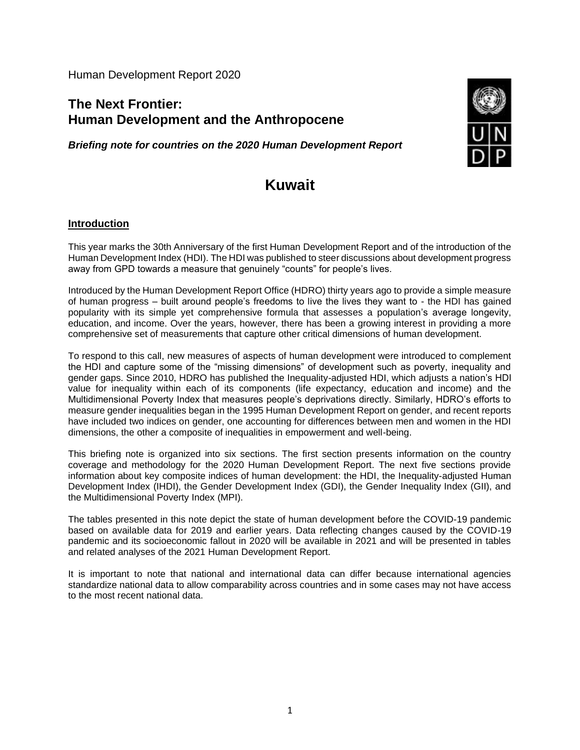Human Development Report 2020

## **The Next Frontier: Human Development and the Anthropocene**

*Briefing note for countries on the 2020 Human Development Report*



# **Kuwait**

#### **Introduction**

This year marks the 30th Anniversary of the first Human Development Report and of the introduction of the Human Development Index (HDI). The HDI was published to steer discussions about development progress away from GPD towards a measure that genuinely "counts" for people's lives.

Introduced by the Human Development Report Office (HDRO) thirty years ago to provide a simple measure of human progress – built around people's freedoms to live the lives they want to - the HDI has gained popularity with its simple yet comprehensive formula that assesses a population's average longevity, education, and income. Over the years, however, there has been a growing interest in providing a more comprehensive set of measurements that capture other critical dimensions of human development.

To respond to this call, new measures of aspects of human development were introduced to complement the HDI and capture some of the "missing dimensions" of development such as poverty, inequality and gender gaps. Since 2010, HDRO has published the Inequality-adjusted HDI, which adjusts a nation's HDI value for inequality within each of its components (life expectancy, education and income) and the Multidimensional Poverty Index that measures people's deprivations directly. Similarly, HDRO's efforts to measure gender inequalities began in the 1995 Human Development Report on gender, and recent reports have included two indices on gender, one accounting for differences between men and women in the HDI dimensions, the other a composite of inequalities in empowerment and well-being.

This briefing note is organized into six sections. The first section presents information on the country coverage and methodology for the 2020 Human Development Report. The next five sections provide information about key composite indices of human development: the HDI, the Inequality-adjusted Human Development Index (IHDI), the Gender Development Index (GDI), the Gender Inequality Index (GII), and the Multidimensional Poverty Index (MPI).

The tables presented in this note depict the state of human development before the COVID-19 pandemic based on available data for 2019 and earlier years. Data reflecting changes caused by the COVID-19 pandemic and its socioeconomic fallout in 2020 will be available in 2021 and will be presented in tables and related analyses of the 2021 Human Development Report.

It is important to note that national and international data can differ because international agencies standardize national data to allow comparability across countries and in some cases may not have access to the most recent national data.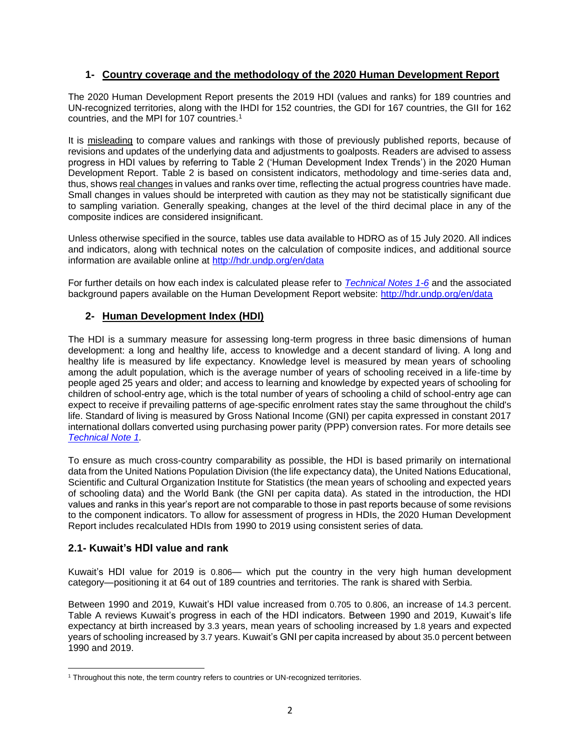#### **1- Country coverage and the methodology of the 2020 Human Development Report**

The 2020 Human Development Report presents the 2019 HDI (values and ranks) for 189 countries and UN-recognized territories, along with the IHDI for 152 countries, the GDI for 167 countries, the GII for 162 countries, and the MPI for 107 countries.<sup>1</sup>

It is misleading to compare values and rankings with those of previously published reports, because of revisions and updates of the underlying data and adjustments to goalposts. Readers are advised to assess progress in HDI values by referring to Table 2 ('Human Development Index Trends') in the 2020 Human Development Report. Table 2 is based on consistent indicators, methodology and time-series data and, thus, shows real changes in values and ranks over time, reflecting the actual progress countries have made. Small changes in values should be interpreted with caution as they may not be statistically significant due to sampling variation. Generally speaking, changes at the level of the third decimal place in any of the composite indices are considered insignificant.

Unless otherwise specified in the source, tables use data available to HDRO as of 15 July 2020. All indices and indicators, along with technical notes on the calculation of composite indices, and additional source information are available online at<http://hdr.undp.org/en/data>

For further details on how each index is calculated please refer to *[Technical Notes 1-6](http://hdr.undp.org/sites/default/files/hdr2020_technical_notes.pdf)* and the associated background papers available on the Human Development Report website:<http://hdr.undp.org/en/data>

#### **2- Human Development Index (HDI)**

The HDI is a summary measure for assessing long-term progress in three basic dimensions of human development: a long and healthy life, access to knowledge and a decent standard of living. A long and healthy life is measured by life expectancy. Knowledge level is measured by mean years of schooling among the adult population, which is the average number of years of schooling received in a life-time by people aged 25 years and older; and access to learning and knowledge by expected years of schooling for children of school-entry age, which is the total number of years of schooling a child of school-entry age can expect to receive if prevailing patterns of age-specific enrolment rates stay the same throughout the child's life. Standard of living is measured by Gross National Income (GNI) per capita expressed in constant 2017 international dollars converted using purchasing power parity (PPP) conversion rates. For more details see *[Technical Note 1.](http://hdr.undp.org/sites/default/files/hdr2020_technical_notes.pdf)*

To ensure as much cross-country comparability as possible, the HDI is based primarily on international data from the United Nations Population Division (the life expectancy data), the United Nations Educational, Scientific and Cultural Organization Institute for Statistics (the mean years of schooling and expected years of schooling data) and the World Bank (the GNI per capita data). As stated in the introduction, the HDI values and ranks in this year's report are not comparable to those in past reports because of some revisions to the component indicators. To allow for assessment of progress in HDIs, the 2020 Human Development Report includes recalculated HDIs from 1990 to 2019 using consistent series of data.

#### **2.1- Kuwait's HDI value and rank**

Kuwait's HDI value for 2019 is 0.806— which put the country in the very high human development category—positioning it at 64 out of 189 countries and territories. The rank is shared with Serbia.

Between 1990 and 2019, Kuwait's HDI value increased from 0.705 to 0.806, an increase of 14.3 percent. Table A reviews Kuwait's progress in each of the HDI indicators. Between 1990 and 2019, Kuwait's life expectancy at birth increased by 3.3 years, mean years of schooling increased by 1.8 years and expected years of schooling increased by 3.7 years. Kuwait's GNI per capita increased by about 35.0 percent between 1990 and 2019.

<sup>&</sup>lt;sup>1</sup> Throughout this note, the term country refers to countries or UN-recognized territories.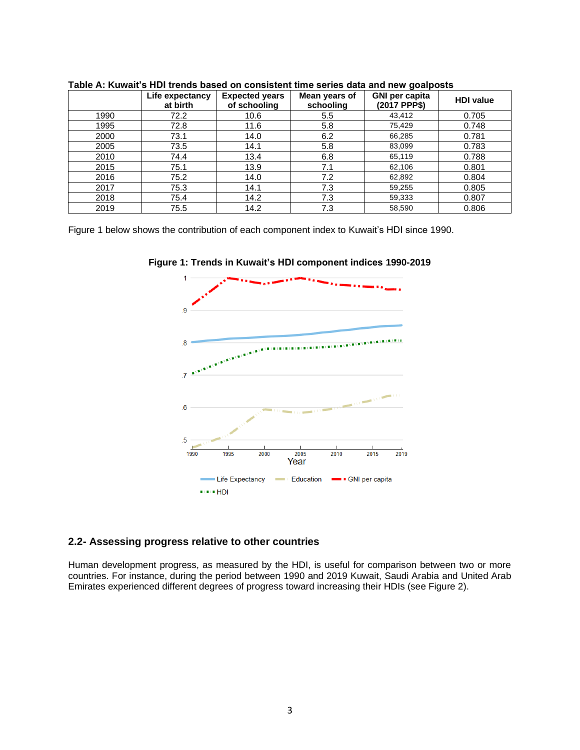|      | Life expectancy<br>at birth | <b>Expected years</b><br>of schooling | Mean years of<br>schooling | <b>GNI per capita</b><br>(2017 PPP\$) | <b>HDI</b> value |
|------|-----------------------------|---------------------------------------|----------------------------|---------------------------------------|------------------|
| 1990 | 72.2                        | 10.6                                  | 5.5                        | 43,412                                | 0.705            |
| 1995 | 72.8                        | 11.6                                  | 5.8                        | 75,429                                | 0.748            |
| 2000 | 73.1                        | 14.0                                  | 6.2                        | 66,285                                | 0.781            |
| 2005 | 73.5                        | 14.1                                  | 5.8                        | 83,099                                | 0.783            |
| 2010 | 74.4                        | 13.4                                  | 6.8                        | 65,119                                | 0.788            |
| 2015 | 75.1                        | 13.9                                  | 7.1                        | 62,106                                | 0.801            |
| 2016 | 75.2                        | 14.0                                  | 7.2                        | 62,892                                | 0.804            |
| 2017 | 75.3                        | 14.1                                  | 7.3                        | 59,255                                | 0.805            |
| 2018 | 75.4                        | 14.2                                  | 7.3                        | 59,333                                | 0.807            |
| 2019 | 75.5                        | 14.2                                  | 7.3                        | 58,590                                | 0.806            |

**Table A: Kuwait's HDI trends based on consistent time series data and new goalposts**

Figure 1 below shows the contribution of each component index to Kuwait's HDI since 1990.



**Figure 1: Trends in Kuwait's HDI component indices 1990-2019**

#### **2.2- Assessing progress relative to other countries**

Human development progress, as measured by the HDI, is useful for comparison between two or more countries. For instance, during the period between 1990 and 2019 Kuwait, Saudi Arabia and United Arab Emirates experienced different degrees of progress toward increasing their HDIs (see Figure 2).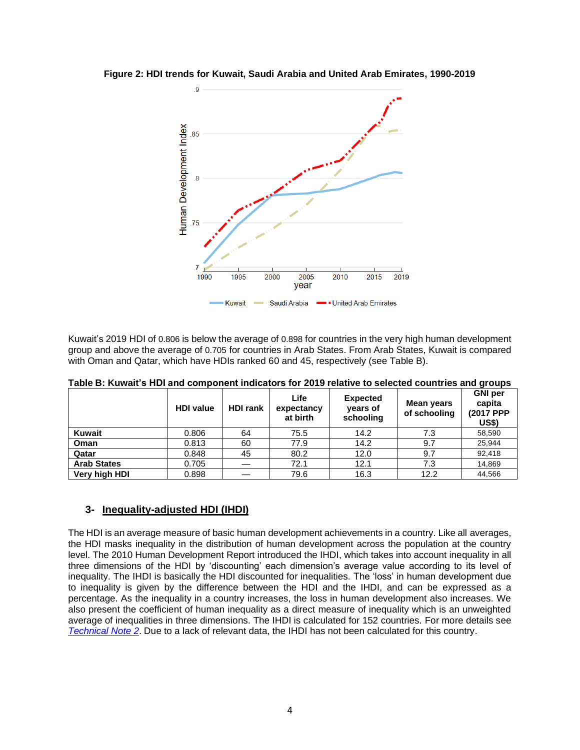

**Figure 2: HDI trends for Kuwait, Saudi Arabia and United Arab Emirates, 1990-2019**

Kuwait's 2019 HDI of 0.806 is below the average of 0.898 for countries in the very high human development group and above the average of 0.705 for countries in Arab States. From Arab States, Kuwait is compared with Oman and Qatar, which have HDIs ranked 60 and 45, respectively (see Table B).

|                    | <b>HDI value</b> | <b>HDI rank</b> | Life<br>expectancy<br>at birth | <b>Expected</b><br>years of<br>schooling | Mean years<br>of schooling | <b>GNI</b> per<br>capita<br>(2017 PPP<br>US\$) |  |
|--------------------|------------------|-----------------|--------------------------------|------------------------------------------|----------------------------|------------------------------------------------|--|
| <b>Kuwait</b>      | 0.806            | 64              | 75.5                           | 14.2                                     | 7.3                        | 58,590                                         |  |
| Oman               | 0.813            | 60              | 77.9                           | 14.2                                     | 9.7                        | 25,944                                         |  |
| Qatar              | 0.848            | 45              | 80.2                           | 12.0                                     | 9.7                        | 92.418                                         |  |
| <b>Arab States</b> | 0.705            |                 | 72.1                           | 12.1                                     | 7.3                        | 14,869                                         |  |
| Very high HDI      | 0.898            |                 | 79.6                           | 16.3                                     | 12.2                       | 44,566                                         |  |

**Table B: Kuwait's HDI and component indicators for 2019 relative to selected countries and groups**

#### **3- Inequality-adjusted HDI (IHDI)**

The HDI is an average measure of basic human development achievements in a country. Like all averages, the HDI masks inequality in the distribution of human development across the population at the country level. The 2010 Human Development Report introduced the IHDI, which takes into account inequality in all three dimensions of the HDI by 'discounting' each dimension's average value according to its level of inequality. The IHDI is basically the HDI discounted for inequalities. The 'loss' in human development due to inequality is given by the difference between the HDI and the IHDI, and can be expressed as a percentage. As the inequality in a country increases, the loss in human development also increases. We also present the coefficient of human inequality as a direct measure of inequality which is an unweighted average of inequalities in three dimensions. The IHDI is calculated for 152 countries. For more details see *[Technical Note 2](http://hdr.undp.org/sites/default/files/hdr2020_technical_notes.pdf)*. Due to a lack of relevant data, the IHDI has not been calculated for this country.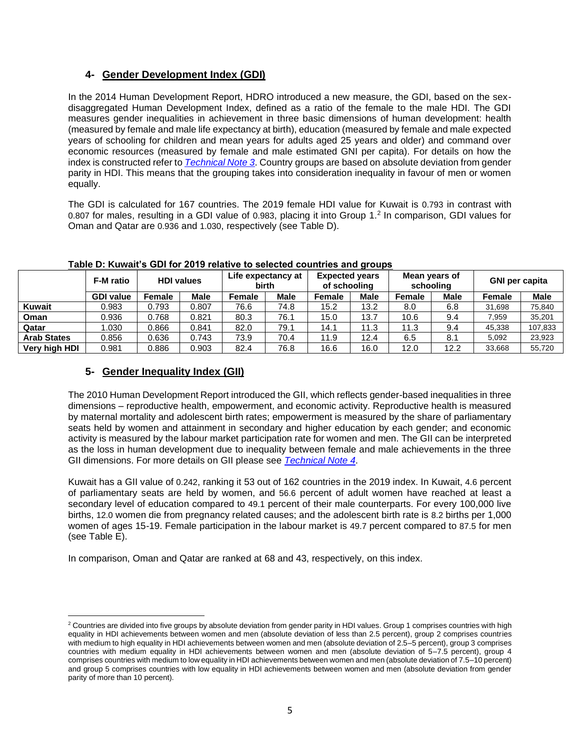#### **4- Gender Development Index (GDI)**

In the 2014 Human Development Report, HDRO introduced a new measure, the GDI, based on the sexdisaggregated Human Development Index, defined as a ratio of the female to the male HDI. The GDI measures gender inequalities in achievement in three basic dimensions of human development: health (measured by female and male life expectancy at birth), education (measured by female and male expected years of schooling for children and mean years for adults aged 25 years and older) and command over economic resources (measured by female and male estimated GNI per capita). For details on how the index is constructed refer to *[Technical Note 3](http://hdr.undp.org/sites/default/files/hdr2020_technical_notes.pdf)*. Country groups are based on absolute deviation from gender parity in HDI. This means that the grouping takes into consideration inequality in favour of men or women equally.

The GDI is calculated for 167 countries. The 2019 female HDI value for Kuwait is 0.793 in contrast with 0.807 for males, resulting in a GDI value of 0.983, placing it into Group 1.<sup>2</sup> In comparison, GDI values for Oman and Qatar are 0.936 and 1.030, respectively (see Table D).

|                    | F-M ratio        | <b>HDI values</b> |             | Life expectancy at<br><b>birth</b> |             | <b>Expected years</b><br>of schooling |             | Mean years of<br>schooling |             | <b>GNI per capita</b> |             |
|--------------------|------------------|-------------------|-------------|------------------------------------|-------------|---------------------------------------|-------------|----------------------------|-------------|-----------------------|-------------|
|                    | <b>GDI value</b> | Female            | <b>Male</b> | Female                             | <b>Male</b> | Female                                | <b>Male</b> | Female                     | <b>Male</b> | Female                | <b>Male</b> |
| <b>Kuwait</b>      | 0.983            | 0.793             | 0.807       | 76.6                               | 74.8        | 15.2                                  | 13.2        | 8.0                        | 6.8         | 31,698                | 75,840      |
| Oman               | 0.936            | 0.768             | 0.821       | 80.3                               | 76.1        | 15.0                                  | 13.7        | 10.6                       | 9.4         | 7.959                 | 35,201      |
| Qatar              | .030             | 0.866             | 0.841       | 82.0                               | 79.1        | 14.1                                  | 11.3        | 11.3                       | 9.4         | 45,338                | 107,833     |
| <b>Arab States</b> | 0.856            | 0.636             | 0.743       | 73.9                               | 70.4        | 11.9                                  | 12.4        | 6.5                        | 8.1         | 5,092                 | 23,923      |
| Very high HDI      | 0.981            | 0.886             | 0.903       | 82.4                               | 76.8        | 16.6                                  | 16.0        | 12.0                       | 12.2        | 33,668                | 55,720      |

#### **Table D: Kuwait's GDI for 2019 relative to selected countries and groups**

#### **5- Gender Inequality Index (GII)**

The 2010 Human Development Report introduced the GII, which reflects gender-based inequalities in three dimensions – reproductive health, empowerment, and economic activity. Reproductive health is measured by maternal mortality and adolescent birth rates; empowerment is measured by the share of parliamentary seats held by women and attainment in secondary and higher education by each gender; and economic activity is measured by the labour market participation rate for women and men. The GII can be interpreted as the loss in human development due to inequality between female and male achievements in the three GII dimensions. For more details on GII please see *[Technical Note 4](http://hdr.undp.org/sites/default/files/hdr2020_technical_notes.pdf)*.

Kuwait has a GII value of 0.242, ranking it 53 out of 162 countries in the 2019 index. In Kuwait, 4.6 percent of parliamentary seats are held by women, and 56.6 percent of adult women have reached at least a secondary level of education compared to 49.1 percent of their male counterparts. For every 100,000 live births, 12.0 women die from pregnancy related causes; and the adolescent birth rate is 8.2 births per 1,000 women of ages 15-19. Female participation in the labour market is 49.7 percent compared to 87.5 for men (see Table E).

In comparison, Oman and Qatar are ranked at 68 and 43, respectively, on this index.

<sup>&</sup>lt;sup>2</sup> Countries are divided into five groups by absolute deviation from gender parity in HDI values. Group 1 comprises countries with high equality in HDI achievements between women and men (absolute deviation of less than 2.5 percent), group 2 comprises countries with medium to high equality in HDI achievements between women and men (absolute deviation of 2.5–5 percent), group 3 comprises countries with medium equality in HDI achievements between women and men (absolute deviation of 5–7.5 percent), group 4 comprises countries with medium to low equality in HDI achievements between women and men (absolute deviation of 7.5–10 percent) and group 5 comprises countries with low equality in HDI achievements between women and men (absolute deviation from gender parity of more than 10 percent).